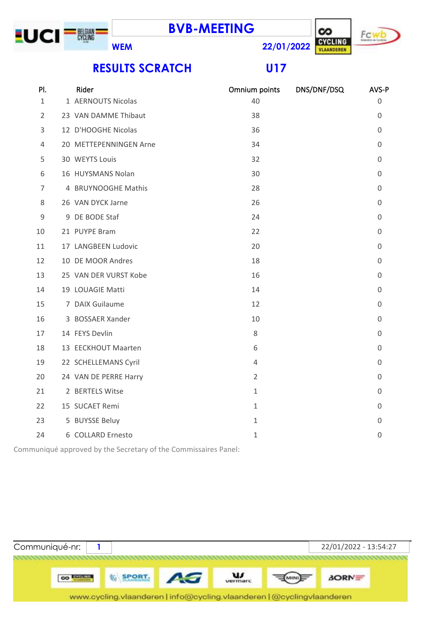



## **RESULTS SCRATCH U17**

| PI.            | Rider                  | Omnium points  | DNS/DNF/DSQ | AVS-P        |
|----------------|------------------------|----------------|-------------|--------------|
| $\mathbf{1}$   | 1 AERNOUTS Nicolas     | 40             |             | 0            |
| $\overline{2}$ | 23 VAN DAMME Thibaut   | 38             |             | 0            |
| 3              | 12 D'HOOGHE Nicolas    | 36             |             | 0            |
| 4              | 20 METTEPENNINGEN Arne | 34             |             | 0            |
| 5              | 30 WEYTS Louis         | 32             |             | 0            |
| 6              | 16 HUYSMANS Nolan      | 30             |             | 0            |
| 7              | 4 BRUYNOOGHE Mathis    | 28             |             | $\Omega$     |
| 8              | 26 VAN DYCK Jarne      | 26             |             | 0            |
| $\mathsf 9$    | 9 DE BODE Staf         | 24             |             | 0            |
| 10             | 21 PUYPE Bram          | 22             |             | $\mathbf{0}$ |
| 11             | 17 LANGBEEN Ludovic    | 20             |             | 0            |
| 12             | 10 DE MOOR Andres      | 18             |             | 0            |
| 13             | 25 VAN DER VURST Kobe  | 16             |             | 0            |
| 14             | 19 LOUAGIE Matti       | 14             |             | 0            |
| 15             | 7 DAIX Guilaume        | 12             |             | 0            |
| 16             | 3 BOSSAER Xander       | 10             |             | 0            |
| 17             | 14 FEYS Devlin         | 8              |             | 0            |
| 18             | 13 EECKHOUT Maarten    | 6              |             | 0            |
| 19             | 22 SCHELLEMANS Cyril   | $\overline{4}$ |             | 0            |
| 20             | 24 VAN DE PERRE Harry  | $\overline{2}$ |             | 0            |
| 21             | 2 BERTELS Witse        | $\mathbf{1}$   |             | $\Omega$     |
| 22             | 15 SUCAET Remi         | $\mathbf{1}$   |             | 0            |
| 23             | 5 BUYSSE Beluy         | $\mathbf{1}$   |             | 0            |
| 24             | 6 COLLARD Ernesto      | $\mathbf{1}$   |             | 0            |
|                |                        |                |             |              |

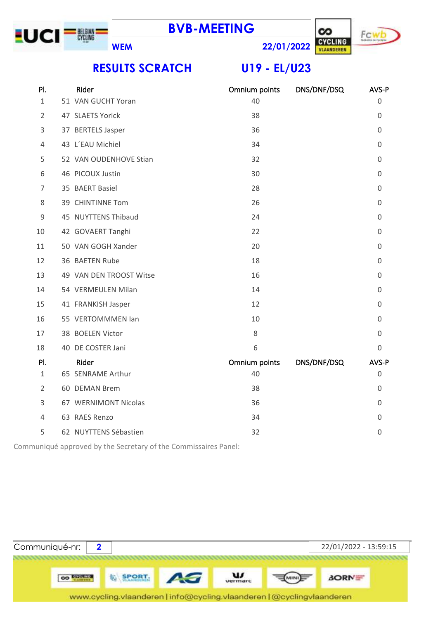



**RESULTS SCRATCH U19 - EL/U23**

| PI.            | Rider                   | Omnium points | DNS/DNF/DSQ | AVS-P          |
|----------------|-------------------------|---------------|-------------|----------------|
| $\mathbf{1}$   | 51 VAN GUCHT Yoran      | 40            |             | $\Omega$       |
| $\overline{2}$ | 47 SLAETS Yorick        | 38            |             | 0              |
| 3              | 37 BERTELS Jasper       | 36            |             | 0              |
| 4              | 43 L'EAU Michiel        | 34            |             | 0              |
| 5              | 52 VAN OUDENHOVE Stian  | 32            |             | $\Omega$       |
| 6              | 46 PICOUX Justin        | 30            |             | 0              |
| 7              | 35 BAERT Basiel         | 28            |             | 0              |
| 8              | 39 CHINTINNE Tom        | 26            |             | 0              |
| 9              | 45 NUYTTENS Thibaud     | 24            |             | $\overline{0}$ |
| 10             | 42 GOVAERT Tanghi       | 22            |             | $\Omega$       |
| 11             | 50 VAN GOGH Xander      | 20            |             | 0              |
| 12             | 36 BAETEN Rube          | 18            |             | 0              |
| 13             | 49 VAN DEN TROOST Witse | 16            |             | 0              |
| 14             | 54 VERMEULEN Milan      | 14            |             | 0              |
| 15             | 41 FRANKISH Jasper      | 12            |             | 0              |
| 16             | 55 VERTOMMMEN Ian       | 10            |             | 0              |
| 17             | 38 BOELEN Victor        | 8             |             | 0              |
| 18             | 40 DE COSTER Jani       | 6             |             | 0              |
| PI.            | Rider                   | Omnium points | DNS/DNF/DSQ | AVS-P          |
| 1              | 65 SENRAME Arthur       | 40            |             | 0              |
| $\overline{2}$ | 60 DEMAN Brem           | 38            |             | $\overline{0}$ |
| 3              | 67 WERNIMONT Nicolas    | 36            |             | $\Omega$       |
| 4              | 63 RAES Renzo           | 34            |             | 0              |
| 5              | 62 NUYTTENS Sébastien   | 32            |             | 0              |

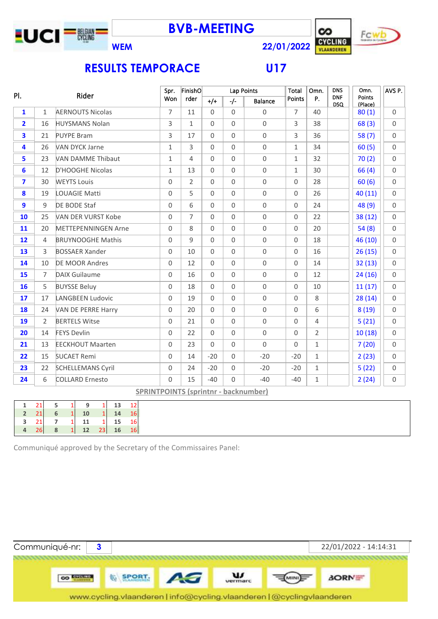

**BVB-MEETING**



**WEM 22/01/2022**

## **RESULTS TEMPORACE U17**

| PI.                     |                | Rider                      | Spr.                | FinishO        |                     | Lap Points          |                                             | Total               | Omn.           | <b>DNS</b>               | Omn.              | AVS P.      |
|-------------------------|----------------|----------------------------|---------------------|----------------|---------------------|---------------------|---------------------------------------------|---------------------|----------------|--------------------------|-------------------|-------------|
|                         |                |                            | Won                 | rder           | $+/+$               | $-/-$               | <b>Balance</b>                              | <b>Points</b>       | P.             | <b>DNF</b><br><b>DSQ</b> | Points<br>(Place) |             |
| $\mathbf{1}$            | $\mathbf{1}$   | <b>AERNOUTS Nicolas</b>    | $\overline{7}$      | 11             | $\Omega$            | $\Omega$            | $\Omega$                                    | $\overline{7}$      | 40             |                          | 80(1)             | $\Omega$    |
| $\overline{2}$          | 16             | <b>HUYSMANS Nolan</b>      | 3                   | $\mathbf{1}$   | $\mathbf 0$         | $\mathbf 0$         | $\mathsf{O}\xspace$                         | 3                   | 38             |                          | 68(3)             | $\Omega$    |
| 3                       | 21             | <b>PUYPE Bram</b>          | 3                   | 17             | $\Omega$            | $\Omega$            | $\mathsf{O}$                                | 3                   | 36             |                          | 58(7)             | $\Omega$    |
| 4                       | 26             | <b>VAN DYCK Jarne</b>      | $\mathbf{1}$        | 3              | $\mathsf{O}\xspace$ | $\mathbf 0$         | $\mathsf{O}\xspace$                         | $\mathbf{1}$        | 34             |                          | 60(5)             | $\Omega$    |
| 5                       | 23             | <b>VAN DAMME Thibaut</b>   | $\mathbf{1}$        | 4              | $\Omega$            | $\overline{0}$      | $\mathbf 0$                                 | $\mathbf{1}$        | 32             |                          | 70(2)             | $\Omega$    |
| 6                       | 12             | D'HOOGHE Nicolas           | $\mathbf{1}$        | 13             | $\Omega$            | $\mathsf{O}\xspace$ | $\mathbf 0$                                 | $\mathbf{1}$        | 30             |                          | 66(4)             | $\Omega$    |
| $\overline{\mathbf{z}}$ | 30             | <b>WEYTS Louis</b>         | $\mathsf{O}\xspace$ | $\overline{2}$ | $\mathsf{O}\xspace$ | $\mathsf{O}\xspace$ | $\mathsf{O}\xspace$                         | $\mathbf 0$         | 28             |                          | 60(6)             | $\mathbf 0$ |
| 8                       | 19             | <b>LOUAGIE Matti</b>       | $\mathsf{O}\xspace$ | 5              | $\Omega$            | $\mathsf{O}\xspace$ | $\mathbf 0$                                 | $\Omega$            | 26             |                          | 40 (11)           | $\Omega$    |
| 9                       | 9              | DE BODE Staf               | $\mathsf{O}\xspace$ | 6              | $\mathsf{O}\xspace$ | $\mathbf 0$         | $\mathsf{O}\xspace$                         | $\mathbf 0$         | 24             |                          | 48 (9)            | $\Omega$    |
| 10                      | 25             | VAN DER VURST Kobe         | $\Omega$            | $\overline{7}$ | $\Omega$            | $\Omega$            | $\mathsf{O}\xspace$                         | $\Omega$            | 22             |                          | 38 (12)           | $\Omega$    |
| 11                      | 20             | <b>METTEPENNINGEN Arne</b> | $\mathsf{O}\xspace$ | 8              | $\mathsf{O}\xspace$ | $\mathbf 0$         | $\mathbf 0$                                 | $\mathbf 0$         | 20             |                          | 54(8)             | $\Omega$    |
| 12                      | 4              | <b>BRUYNOOGHE Mathis</b>   | $\mathbf 0$         | 9              | $\mathsf{O}\xspace$ | $\mathsf{O}\xspace$ | $\mathsf{O}\xspace$                         | $\mathbf 0$         | 18             |                          | 46 (10)           | $\Omega$    |
| 13                      | 3              | <b>BOSSAER Xander</b>      | $\mathsf{O}\xspace$ | 10             | $\Omega$            | $\overline{0}$      | $\mathsf{O}\xspace$                         | $\mathbf 0$         | 16             |                          | 26(15)            | $\Omega$    |
| 14                      | 10             | <b>DE MOOR Andres</b>      | $\mathsf{O}\xspace$ | 12             | $\mathsf{O}\xspace$ | $\mathbf 0$         | $\mathsf{O}\xspace$                         | $\mathbf 0$         | 14             |                          | 32(13)            | $\mathbf 0$ |
| 15                      | $\overline{7}$ | <b>DAIX Guilaume</b>       | $\Omega$            | 16             | $\Omega$            | $\overline{0}$      | $\mathbf 0$                                 | $\Omega$            | 12             |                          | 24(16)            | $\Omega$    |
| 16                      | 5              | <b>BUYSSE Beluy</b>        | $\mathsf{O}\xspace$ | 18             | $\mathbf 0$         | $\mathsf{O}\xspace$ | $\mathbf 0$                                 | $\mathbf 0$         | 10             |                          | 11(17)            | $\Omega$    |
| 17                      | 17             | <b>LANGBEEN Ludovic</b>    | $\Omega$            | 19             | $\Omega$            | $\mathsf{O}\xspace$ | $\mathsf{O}$                                | $\Omega$            | 8              |                          | 28(14)            | $\Omega$    |
| 18                      | 24             | VAN DE PERRE Harry         | $\mathbf 0$         | 20             | $\mathbf 0$         | $\overline{0}$      | $\mathsf{O}\xspace$                         | $\mathsf{O}\xspace$ | 6              |                          | 8(19)             | $\Omega$    |
| 19                      | $\overline{2}$ | <b>BERTELS Witse</b>       | $\mathsf{O}\xspace$ | 21             | $\mathbf 0$         | $\mathsf{O}\xspace$ | $\mathsf{O}\xspace$                         | $\mathbf 0$         | $\overline{4}$ |                          | 5(21)             | $\Omega$    |
| 20                      | 14             | <b>FEYS Devlin</b>         | $\overline{0}$      | 22             | $\mathbf 0$         | $\overline{0}$      | $\mathbf 0$                                 | $\mathbf 0$         | $\overline{2}$ |                          | 10(18)            | $\Omega$    |
| 21                      | 13             | <b>EECKHOUT Maarten</b>    | $\mathsf{O}\xspace$ | 23             | $\mathbf 0$         | $\mathsf{O}\xspace$ | $\mathbf{0}$                                | $\mathbf 0$         | $\mathbf{1}$   |                          | 7(20)             | $\Omega$    |
| 22                      | 15             | <b>SUCAET Remi</b>         | $\Omega$            | 14             | $-20$               | $\mathsf{O}\xspace$ | $-20$                                       | $-20$               | $\mathbf{1}$   |                          | 2(23)             | $\Omega$    |
| 23                      | 22             | <b>SCHELLEMANS Cyril</b>   | $\mathsf{O}\xspace$ | 24             | $-20$               | $\mathsf{O}$        | $-20$                                       | $-20$               | $\mathbf{1}$   |                          | 5(22)             | $\mathbf 0$ |
| 24                      | 6              | <b>COLLARD Ernesto</b>     | 0                   | 15             | $-40$               | $\Omega$            | $-40$                                       | $-40$               | $\mathbf{1}$   |                          | 2(24)             | $\mathbf 0$ |
|                         |                |                            |                     |                |                     |                     | <b>SPRINTPOINTS (sprintnr - backnumber)</b> |                     |                |                          |                   |             |

| 21<br>13<br>$\mathbf{1}$<br>12<br>5<br>$\mathbf{1}$<br>9<br>1                     |
|-----------------------------------------------------------------------------------|
|                                                                                   |
| $\vert 1 \vert$<br>14<br> 21 <br><b>10</b><br>$\overline{2}$<br>$6 \quad 1$<br>16 |
| $7 \quad 1 \quad 11$<br>$1 \quad 15$<br>$\sim$ 21<br><b>16</b>                    |
| 12 23<br>26<br><b>16</b><br>8<br>$\vert$ 1<br>16                                  |

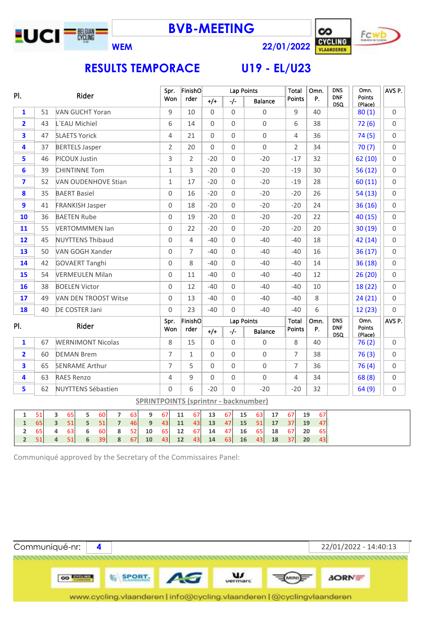



**WEM 22/01/2022**

## **RESULTS TEMPORACE**

|  | <b>U19 - EL/U23</b> |  |
|--|---------------------|--|

| PI.<br>Rider<br><b>DNF</b><br>Points<br>P.<br>Won<br>rder<br>Points<br>$+/-$<br>$-/-$<br><b>Balance</b><br><b>DSQ</b><br>(Place)<br><b>VAN GUCHT Yoran</b><br>9<br>1<br>9<br>10<br>$\Omega$<br>$\mathbf 0$<br>$\mathbf 0$<br>40<br>51<br>80(1)<br>$\mathsf{O}\xspace$<br>2<br>43<br>L'EAU Michiel<br>6<br>$\Omega$<br>$\Omega$<br>6<br>38<br>72(6)<br>14<br>3<br><b>SLAETS Yorick</b><br>$\mathsf{O}\xspace$<br>47<br>$\overline{4}$<br>21<br>0<br>$\mathbf 0$<br>4<br>36<br>74(5)<br>$\mathbf 0$<br>4<br>37<br><b>BERTELS Jasper</b><br>$\overline{2}$<br>20<br>$\Omega$<br>$\mathbf 0$<br>$\overline{2}$<br>34<br>70(7)<br>PICOUX Justin<br>$-20$<br>5<br>46<br>3<br>$\overline{2}$<br>$-20$<br>$\mathbf 0$<br>$-17$<br>32<br>62(10)<br>39<br>$\mathbf{1}$<br>$\overline{3}$<br>$-20$<br>$-20$<br>$-19$<br>30<br>56(12)<br>6<br><b>CHINTINNE Tom</b><br>$\Omega$<br>7<br>$-20$<br>$-19$<br>52<br>VAN OUDENHOVE Stian<br>$\mathbf{1}$<br>17<br>$-20$<br>$\Omega$<br>28<br>60(11)<br>8<br>35<br><b>BAERT Basiel</b><br>$\Omega$<br>16<br>$-20$<br>$\Omega$<br>$-20$<br>$-20$<br>26<br>54(13)<br>9<br>41<br>$\Omega$<br>$\Omega$<br>$-20$<br>$-20$<br>24<br>36(16)<br>18<br>$-20$<br><b>FRANKISH Jasper</b><br>10<br><b>BAETEN Rube</b><br>$\Omega$<br>19<br>$-20$<br>$\mathbf 0$<br>$-20$<br>$-20$<br>22<br>40(15)<br>36<br>55<br><b>VERTOMMMEN Ian</b><br>$\mathbf 0$<br>22<br>$-20$<br>$\mathbf 0$<br>$-20$<br>$-20$<br>20<br>30(19)<br>11<br>45<br><b>NUYTTENS Thibaud</b><br>$\mathbf 0$<br>4<br>$-40$<br>$\mathbf 0$<br>$-40$<br>$-40$<br>18<br>42(14)<br>$12 \overline{ }$<br>13<br>50<br>VAN GOGH Xander<br>$\mathbf 0$<br>7<br>$\Omega$<br>$-40$<br>$-40$<br>16<br>36(17)<br>$-40$<br>42<br>$\Omega$<br>8<br>36(18)<br>14<br><b>GOVAERT Tanghi</b><br>$-40$<br>$\Omega$<br>$-40$<br>$-40$<br>14<br>54<br><b>VERMEULEN Milan</b><br>$\mathbf 0$<br>0<br>$-40$<br>$-40$<br>12<br>26(20)<br>15<br>11<br>-40<br>$\Omega$<br>18 (22)<br>16<br>38<br><b>BOELEN Victor</b><br>12<br>$-40$<br>$\mathbf 0$<br>$-40$<br>$-40$<br>10<br>17<br>49<br><b>VAN DEN TROOST Witse</b><br>$\mathbf 0$<br>13<br>$\mathbf 0$<br>$-40$<br>$-40$<br>8<br>24(21)<br>$-40$<br>DE COSTER Jani<br>$\Omega$<br>23<br>$\Omega$<br>$-40$<br>$-40$<br>6<br>12(23)<br>18<br>40<br>$-40$<br>FinishO<br><b>DNS</b><br>Omn.<br>Total<br>Spr.<br>Lap Points<br>Omn.<br>Rider<br>PI.<br><b>DNF</b><br>Points<br>P.<br>rder<br>Points<br>Won<br>$+/+$<br>$-/-$<br>Balance<br>DSQ<br>(Place)<br>$\mathbf{1}$<br>$\Omega$<br>67<br><b>WERNIMONT Nicolas</b><br>8<br>15<br>$\Omega$<br>$\mathbf 0$<br>8<br>40<br>76(2)<br>$\overline{\mathbf{2}}$<br>$\overline{7}$<br>$\Omega$<br>$\mathbf 0$<br>$\mathbf 0$<br>$\overline{7}$<br>76(3)<br>60<br><b>DEMAN Brem</b><br>$\mathbf{1}$<br>38<br>$\overline{7}$<br>5<br>$\mathsf{O}\xspace$<br>$\overline{7}$<br>3<br>65<br><b>SENRAME Arthur</b><br>$\Omega$<br>$\Omega$<br>36<br>76(4)<br>$\Omega$<br>4<br>63<br><b>RAES Renzo</b><br>4<br>9<br>$\Omega$<br>$\mathbf 0$<br>4<br>34<br>68(8)<br>5<br>62<br>6<br>$\Omega$<br><b>NUYTTENS Sébastien</b><br>$\Omega$<br>$-20$<br>$-20$<br>$-20$<br>32<br>64(9) | AVS P. |
|--------------------------------------------------------------------------------------------------------------------------------------------------------------------------------------------------------------------------------------------------------------------------------------------------------------------------------------------------------------------------------------------------------------------------------------------------------------------------------------------------------------------------------------------------------------------------------------------------------------------------------------------------------------------------------------------------------------------------------------------------------------------------------------------------------------------------------------------------------------------------------------------------------------------------------------------------------------------------------------------------------------------------------------------------------------------------------------------------------------------------------------------------------------------------------------------------------------------------------------------------------------------------------------------------------------------------------------------------------------------------------------------------------------------------------------------------------------------------------------------------------------------------------------------------------------------------------------------------------------------------------------------------------------------------------------------------------------------------------------------------------------------------------------------------------------------------------------------------------------------------------------------------------------------------------------------------------------------------------------------------------------------------------------------------------------------------------------------------------------------------------------------------------------------------------------------------------------------------------------------------------------------------------------------------------------------------------------------------------------------------------------------------------------------------------------------------------------------------------------------------------------------------------------------------------------------------------------------------------------------------------------------------------------------------------------------------------------------------------------------------------------------------------------------------------------------------------------------------------------------------------------------------------------------------------------------------------------------------------------------------------------------------------------------------------------------------------------------------------------------------|--------|
|                                                                                                                                                                                                                                                                                                                                                                                                                                                                                                                                                                                                                                                                                                                                                                                                                                                                                                                                                                                                                                                                                                                                                                                                                                                                                                                                                                                                                                                                                                                                                                                                                                                                                                                                                                                                                                                                                                                                                                                                                                                                                                                                                                                                                                                                                                                                                                                                                                                                                                                                                                                                                                                                                                                                                                                                                                                                                                                                                                                                                                                                                                                          |        |
|                                                                                                                                                                                                                                                                                                                                                                                                                                                                                                                                                                                                                                                                                                                                                                                                                                                                                                                                                                                                                                                                                                                                                                                                                                                                                                                                                                                                                                                                                                                                                                                                                                                                                                                                                                                                                                                                                                                                                                                                                                                                                                                                                                                                                                                                                                                                                                                                                                                                                                                                                                                                                                                                                                                                                                                                                                                                                                                                                                                                                                                                                                                          | 0      |
|                                                                                                                                                                                                                                                                                                                                                                                                                                                                                                                                                                                                                                                                                                                                                                                                                                                                                                                                                                                                                                                                                                                                                                                                                                                                                                                                                                                                                                                                                                                                                                                                                                                                                                                                                                                                                                                                                                                                                                                                                                                                                                                                                                                                                                                                                                                                                                                                                                                                                                                                                                                                                                                                                                                                                                                                                                                                                                                                                                                                                                                                                                                          | 0      |
|                                                                                                                                                                                                                                                                                                                                                                                                                                                                                                                                                                                                                                                                                                                                                                                                                                                                                                                                                                                                                                                                                                                                                                                                                                                                                                                                                                                                                                                                                                                                                                                                                                                                                                                                                                                                                                                                                                                                                                                                                                                                                                                                                                                                                                                                                                                                                                                                                                                                                                                                                                                                                                                                                                                                                                                                                                                                                                                                                                                                                                                                                                                          | 0      |
|                                                                                                                                                                                                                                                                                                                                                                                                                                                                                                                                                                                                                                                                                                                                                                                                                                                                                                                                                                                                                                                                                                                                                                                                                                                                                                                                                                                                                                                                                                                                                                                                                                                                                                                                                                                                                                                                                                                                                                                                                                                                                                                                                                                                                                                                                                                                                                                                                                                                                                                                                                                                                                                                                                                                                                                                                                                                                                                                                                                                                                                                                                                          | 0      |
|                                                                                                                                                                                                                                                                                                                                                                                                                                                                                                                                                                                                                                                                                                                                                                                                                                                                                                                                                                                                                                                                                                                                                                                                                                                                                                                                                                                                                                                                                                                                                                                                                                                                                                                                                                                                                                                                                                                                                                                                                                                                                                                                                                                                                                                                                                                                                                                                                                                                                                                                                                                                                                                                                                                                                                                                                                                                                                                                                                                                                                                                                                                          | 0      |
|                                                                                                                                                                                                                                                                                                                                                                                                                                                                                                                                                                                                                                                                                                                                                                                                                                                                                                                                                                                                                                                                                                                                                                                                                                                                                                                                                                                                                                                                                                                                                                                                                                                                                                                                                                                                                                                                                                                                                                                                                                                                                                                                                                                                                                                                                                                                                                                                                                                                                                                                                                                                                                                                                                                                                                                                                                                                                                                                                                                                                                                                                                                          | 0      |
|                                                                                                                                                                                                                                                                                                                                                                                                                                                                                                                                                                                                                                                                                                                                                                                                                                                                                                                                                                                                                                                                                                                                                                                                                                                                                                                                                                                                                                                                                                                                                                                                                                                                                                                                                                                                                                                                                                                                                                                                                                                                                                                                                                                                                                                                                                                                                                                                                                                                                                                                                                                                                                                                                                                                                                                                                                                                                                                                                                                                                                                                                                                          | 0      |
|                                                                                                                                                                                                                                                                                                                                                                                                                                                                                                                                                                                                                                                                                                                                                                                                                                                                                                                                                                                                                                                                                                                                                                                                                                                                                                                                                                                                                                                                                                                                                                                                                                                                                                                                                                                                                                                                                                                                                                                                                                                                                                                                                                                                                                                                                                                                                                                                                                                                                                                                                                                                                                                                                                                                                                                                                                                                                                                                                                                                                                                                                                                          | 0      |
|                                                                                                                                                                                                                                                                                                                                                                                                                                                                                                                                                                                                                                                                                                                                                                                                                                                                                                                                                                                                                                                                                                                                                                                                                                                                                                                                                                                                                                                                                                                                                                                                                                                                                                                                                                                                                                                                                                                                                                                                                                                                                                                                                                                                                                                                                                                                                                                                                                                                                                                                                                                                                                                                                                                                                                                                                                                                                                                                                                                                                                                                                                                          | 0      |
|                                                                                                                                                                                                                                                                                                                                                                                                                                                                                                                                                                                                                                                                                                                                                                                                                                                                                                                                                                                                                                                                                                                                                                                                                                                                                                                                                                                                                                                                                                                                                                                                                                                                                                                                                                                                                                                                                                                                                                                                                                                                                                                                                                                                                                                                                                                                                                                                                                                                                                                                                                                                                                                                                                                                                                                                                                                                                                                                                                                                                                                                                                                          | 0      |
|                                                                                                                                                                                                                                                                                                                                                                                                                                                                                                                                                                                                                                                                                                                                                                                                                                                                                                                                                                                                                                                                                                                                                                                                                                                                                                                                                                                                                                                                                                                                                                                                                                                                                                                                                                                                                                                                                                                                                                                                                                                                                                                                                                                                                                                                                                                                                                                                                                                                                                                                                                                                                                                                                                                                                                                                                                                                                                                                                                                                                                                                                                                          | 0      |
|                                                                                                                                                                                                                                                                                                                                                                                                                                                                                                                                                                                                                                                                                                                                                                                                                                                                                                                                                                                                                                                                                                                                                                                                                                                                                                                                                                                                                                                                                                                                                                                                                                                                                                                                                                                                                                                                                                                                                                                                                                                                                                                                                                                                                                                                                                                                                                                                                                                                                                                                                                                                                                                                                                                                                                                                                                                                                                                                                                                                                                                                                                                          | 0      |
|                                                                                                                                                                                                                                                                                                                                                                                                                                                                                                                                                                                                                                                                                                                                                                                                                                                                                                                                                                                                                                                                                                                                                                                                                                                                                                                                                                                                                                                                                                                                                                                                                                                                                                                                                                                                                                                                                                                                                                                                                                                                                                                                                                                                                                                                                                                                                                                                                                                                                                                                                                                                                                                                                                                                                                                                                                                                                                                                                                                                                                                                                                                          | 0      |
|                                                                                                                                                                                                                                                                                                                                                                                                                                                                                                                                                                                                                                                                                                                                                                                                                                                                                                                                                                                                                                                                                                                                                                                                                                                                                                                                                                                                                                                                                                                                                                                                                                                                                                                                                                                                                                                                                                                                                                                                                                                                                                                                                                                                                                                                                                                                                                                                                                                                                                                                                                                                                                                                                                                                                                                                                                                                                                                                                                                                                                                                                                                          | 0      |
|                                                                                                                                                                                                                                                                                                                                                                                                                                                                                                                                                                                                                                                                                                                                                                                                                                                                                                                                                                                                                                                                                                                                                                                                                                                                                                                                                                                                                                                                                                                                                                                                                                                                                                                                                                                                                                                                                                                                                                                                                                                                                                                                                                                                                                                                                                                                                                                                                                                                                                                                                                                                                                                                                                                                                                                                                                                                                                                                                                                                                                                                                                                          | 0      |
|                                                                                                                                                                                                                                                                                                                                                                                                                                                                                                                                                                                                                                                                                                                                                                                                                                                                                                                                                                                                                                                                                                                                                                                                                                                                                                                                                                                                                                                                                                                                                                                                                                                                                                                                                                                                                                                                                                                                                                                                                                                                                                                                                                                                                                                                                                                                                                                                                                                                                                                                                                                                                                                                                                                                                                                                                                                                                                                                                                                                                                                                                                                          | 0      |
|                                                                                                                                                                                                                                                                                                                                                                                                                                                                                                                                                                                                                                                                                                                                                                                                                                                                                                                                                                                                                                                                                                                                                                                                                                                                                                                                                                                                                                                                                                                                                                                                                                                                                                                                                                                                                                                                                                                                                                                                                                                                                                                                                                                                                                                                                                                                                                                                                                                                                                                                                                                                                                                                                                                                                                                                                                                                                                                                                                                                                                                                                                                          | 0      |
|                                                                                                                                                                                                                                                                                                                                                                                                                                                                                                                                                                                                                                                                                                                                                                                                                                                                                                                                                                                                                                                                                                                                                                                                                                                                                                                                                                                                                                                                                                                                                                                                                                                                                                                                                                                                                                                                                                                                                                                                                                                                                                                                                                                                                                                                                                                                                                                                                                                                                                                                                                                                                                                                                                                                                                                                                                                                                                                                                                                                                                                                                                                          | 0      |
|                                                                                                                                                                                                                                                                                                                                                                                                                                                                                                                                                                                                                                                                                                                                                                                                                                                                                                                                                                                                                                                                                                                                                                                                                                                                                                                                                                                                                                                                                                                                                                                                                                                                                                                                                                                                                                                                                                                                                                                                                                                                                                                                                                                                                                                                                                                                                                                                                                                                                                                                                                                                                                                                                                                                                                                                                                                                                                                                                                                                                                                                                                                          | AVS P. |
|                                                                                                                                                                                                                                                                                                                                                                                                                                                                                                                                                                                                                                                                                                                                                                                                                                                                                                                                                                                                                                                                                                                                                                                                                                                                                                                                                                                                                                                                                                                                                                                                                                                                                                                                                                                                                                                                                                                                                                                                                                                                                                                                                                                                                                                                                                                                                                                                                                                                                                                                                                                                                                                                                                                                                                                                                                                                                                                                                                                                                                                                                                                          |        |
|                                                                                                                                                                                                                                                                                                                                                                                                                                                                                                                                                                                                                                                                                                                                                                                                                                                                                                                                                                                                                                                                                                                                                                                                                                                                                                                                                                                                                                                                                                                                                                                                                                                                                                                                                                                                                                                                                                                                                                                                                                                                                                                                                                                                                                                                                                                                                                                                                                                                                                                                                                                                                                                                                                                                                                                                                                                                                                                                                                                                                                                                                                                          | 0      |
|                                                                                                                                                                                                                                                                                                                                                                                                                                                                                                                                                                                                                                                                                                                                                                                                                                                                                                                                                                                                                                                                                                                                                                                                                                                                                                                                                                                                                                                                                                                                                                                                                                                                                                                                                                                                                                                                                                                                                                                                                                                                                                                                                                                                                                                                                                                                                                                                                                                                                                                                                                                                                                                                                                                                                                                                                                                                                                                                                                                                                                                                                                                          | 0      |
|                                                                                                                                                                                                                                                                                                                                                                                                                                                                                                                                                                                                                                                                                                                                                                                                                                                                                                                                                                                                                                                                                                                                                                                                                                                                                                                                                                                                                                                                                                                                                                                                                                                                                                                                                                                                                                                                                                                                                                                                                                                                                                                                                                                                                                                                                                                                                                                                                                                                                                                                                                                                                                                                                                                                                                                                                                                                                                                                                                                                                                                                                                                          | 0      |
|                                                                                                                                                                                                                                                                                                                                                                                                                                                                                                                                                                                                                                                                                                                                                                                                                                                                                                                                                                                                                                                                                                                                                                                                                                                                                                                                                                                                                                                                                                                                                                                                                                                                                                                                                                                                                                                                                                                                                                                                                                                                                                                                                                                                                                                                                                                                                                                                                                                                                                                                                                                                                                                                                                                                                                                                                                                                                                                                                                                                                                                                                                                          | 0      |
|                                                                                                                                                                                                                                                                                                                                                                                                                                                                                                                                                                                                                                                                                                                                                                                                                                                                                                                                                                                                                                                                                                                                                                                                                                                                                                                                                                                                                                                                                                                                                                                                                                                                                                                                                                                                                                                                                                                                                                                                                                                                                                                                                                                                                                                                                                                                                                                                                                                                                                                                                                                                                                                                                                                                                                                                                                                                                                                                                                                                                                                                                                                          | 0      |
| <b>SPRINTPOINTS (sprintnr - backnumber)</b>                                                                                                                                                                                                                                                                                                                                                                                                                                                                                                                                                                                                                                                                                                                                                                                                                                                                                                                                                                                                                                                                                                                                                                                                                                                                                                                                                                                                                                                                                                                                                                                                                                                                                                                                                                                                                                                                                                                                                                                                                                                                                                                                                                                                                                                                                                                                                                                                                                                                                                                                                                                                                                                                                                                                                                                                                                                                                                                                                                                                                                                                              |        |
| 67<br>65<br>63<br>67<br>67<br>15<br>63<br>67<br>67<br>51<br>$\overline{\mathbf{3}}$<br>5<br>60<br>$\overline{7}$<br>9<br>11<br>13<br>17<br>19<br>$\mathbf 1$                                                                                                                                                                                                                                                                                                                                                                                                                                                                                                                                                                                                                                                                                                                                                                                                                                                                                                                                                                                                                                                                                                                                                                                                                                                                                                                                                                                                                                                                                                                                                                                                                                                                                                                                                                                                                                                                                                                                                                                                                                                                                                                                                                                                                                                                                                                                                                                                                                                                                                                                                                                                                                                                                                                                                                                                                                                                                                                                                             |        |
| 65<br>$\overline{\mathbf{3}}$<br>51<br>51<br>$\overline{7}$<br>$\overline{9}$<br>43<br>43<br>47<br>51<br>37<br>47<br>5<br>46<br>11<br>13<br>15<br>17<br>19<br>$\mathbf 1$<br>65<br>65<br>4<br>63<br>6<br>60<br>8<br>65<br>67<br>47<br>67<br>65<br>$\overline{2}$<br>52<br>10<br>12<br>14<br>16<br>18<br>20                                                                                                                                                                                                                                                                                                                                                                                                                                                                                                                                                                                                                                                                                                                                                                                                                                                                                                                                                                                                                                                                                                                                                                                                                                                                                                                                                                                                                                                                                                                                                                                                                                                                                                                                                                                                                                                                                                                                                                                                                                                                                                                                                                                                                                                                                                                                                                                                                                                                                                                                                                                                                                                                                                                                                                                                               |        |
| 51<br>43<br>51<br>39<br>8<br>67<br>63<br>43<br>37<br>$\overline{2}$<br>6<br>43<br>43<br>16<br>$\overline{4}$<br>10<br>12<br>14<br>18<br>20                                                                                                                                                                                                                                                                                                                                                                                                                                                                                                                                                                                                                                                                                                                                                                                                                                                                                                                                                                                                                                                                                                                                                                                                                                                                                                                                                                                                                                                                                                                                                                                                                                                                                                                                                                                                                                                                                                                                                                                                                                                                                                                                                                                                                                                                                                                                                                                                                                                                                                                                                                                                                                                                                                                                                                                                                                                                                                                                                                               |        |

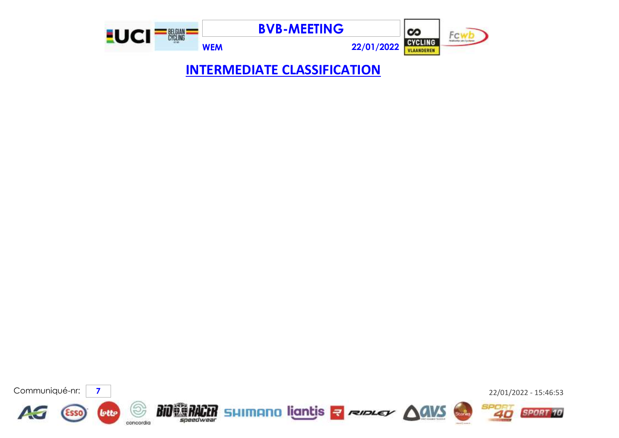

**INTERMEDIATE CLASSIFICATION**

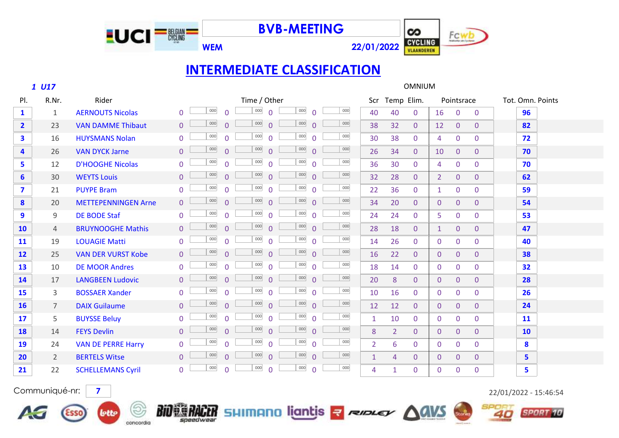

**WEM 22/01/2022**



## **INTERMEDIATE CLASSIFICATION**

 *U17* OMNIUM Pl. R.Nr. and Rider the Scribter Time / Other Scr Temp Elim. Pointsrace Tot. Omn. Points 1 AERNOUTS Nicolas 0 0 000 0 000 0 000 0 000 40 40 0 16 0 0 <mark>96</mark> 23 VAN DAMME Thibaut 0 0 0 0 0 0 0 0 0 0 0 0 0 38 32 0 12 0 0 **82**  16 HUYSMANS Nolan 0 <sup>000</sup> 0 <sup>000</sup> 0 <sup>000</sup> 0 30 38 0 4 0 0 <mark>72</mark> 26 VAN DYCK Jarne 0 <sup>0000</sup> 0 <sup>0000</sup> 0 <sup>000</sup> 0 <sup>000</sup> 26 34 0 10 0 0 <mark>70</mark> 12 D'HOOGHE Nicolas 0 0 0 0 0 0 0 0 0 0 0 0 0 36 30 0 4 0 0 <mark>70</mark> 30 WEYTS Louis 0 0 0 0 32 28 0 2 0 0 **62** <sup>000</sup> <sup>000</sup> <sup>000</sup> <sup>000</sup> 21 PUYPE Bram 0 0 0 0 22 36 0 1 0 0 **59** <sup>000</sup> <sup>000</sup> <sup>000</sup> <sup>000</sup> 20 METTEPENNINGEN Arne 0 0 000 0 000 0 000 0 000 34 20 0 0 0 0 0 54 9 DE BODE Staf 0 0 000 0 000 0 000 0 000 24 24 0 5 0 0 5 53 4 BRUYNOOGHE Mathis 0 0 0 0 0 0 0 0 0 0 0 0 0 28 18 0 1 0 0 47 19 LOUAGIE Matti 0 0 0 0 14 26 0 0 0 0 **40** <sup>000</sup> <sup>000</sup> <sup>000</sup> <sup>000</sup> 25 VAN DER VURST Kobe 0 0 0 0 0 0 0 0 0 0 0 0 0 0 0 0 38 10 DE MOOR Andres 0 0 000 0 000 0 000 0 18 14 0 0 0 0 32 17 LANGBEEN Ludovic 0 0 0 0 20 8 0 0 0 0 **28** <sup>000</sup> <sup>000</sup> <sup>000</sup> <sup>000</sup> 3 BOSSAER Xander 0 <sup>000</sup> 0 <sup>000</sup> 0 <sup>000</sup> 0 10 16 0 0 0 <mark>26</mark> 7 DAIX Guilaume 0 0 0 0 12 12 0 0 0 0 **24** <sup>000</sup> <sup>000</sup> <sup>000</sup> <sup>000</sup> 5 BUYSSE Beluy 0 0 0 0 1 10 0 0 0 0 **11** <sup>000</sup> <sup>000</sup> <sup>000</sup> <sup>000</sup> 14 FEYS Devlin 0 <sup>000</sup> 0 <sup>000</sup> 0 <sup>000</sup> 0 8 2 0 0 0 <mark>10</mark> 24 VAN DE PERRE Harry 0  $\frac{1000}{0}$  0  $\frac{1000}{0}$  0  $\frac{1000}{0}$  0  $\frac{1000}{0}$  2 6 0 0 0 0 **8**  000 0 000 0 000 0 000 2 BERTELS Witse 0 0 0 0 1 4 0 0 0 0 **5** 000 0 000 0 000 0 000 22 SCHELLEMANS Cyril 0 0 0 0 0 0 0 0 0 0 0 0 0 0 0 0 5 000 0 000 0 000 0 000

lotto

concordia



Communiqué-nr: **7** 22/01/2022 - 15:46:54



 $\mathit{BiO}$   $\mathbb{E}$   $\mathit{F}$   $\mathit{A}$   $\mathit{C}$   $\mathit{C}$   $\mathit{F}$   $\mathit{C}$   $\mathit{C}$   $\mathit{C}$   $\mathit{C}$   $\mathit{C}$   $\mathit{C}$   $\mathit{C}$   $\mathit{C}$   $\mathit{C}$   $\mathit{C}$   $\mathit{C}$   $\mathit{C}$   $\mathit{C}$   $\mathit{C}$   $\mathit{C}$   $\mathit{C}$   $\mathit{C}$   $\mathit$ sneerlweal

EUCI<sup>= N</sup>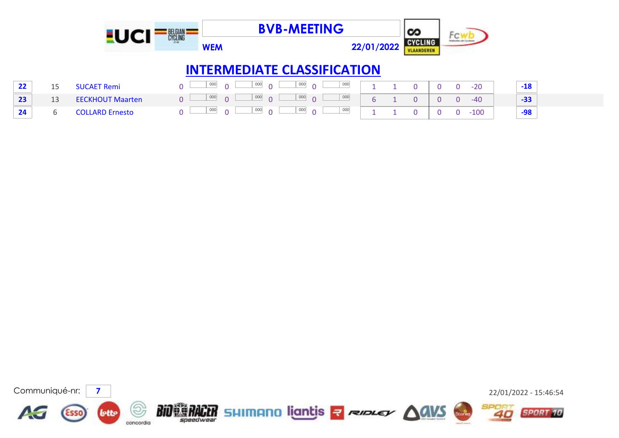|    |    |                         | SEL GIAN<br>Cycline |               |                                    | <b>BVB-MEETING</b> |            | တ              |   | ĦС                    |       |
|----|----|-------------------------|---------------------|---------------|------------------------------------|--------------------|------------|----------------|---|-----------------------|-------|
|    |    |                         |                     | <b>WEM</b>    |                                    |                    | 22/01/2022 | <b>CYCLING</b> |   |                       |       |
|    |    |                         |                     |               | <b>INTERMEDIATE CLASSIFICATION</b> |                    |            |                |   |                       |       |
| 22 | 15 | <b>SUCAET Remi</b>      | $\Omega$            | 000           | 000<br>$\cap$                      | 000                | 000        |                |   | $-20$<br><sup>n</sup> | $-18$ |
| 23 | 13 | <b>EECKHOUT Maarten</b> | $\overline{0}$      | 000<br>$\cap$ | 000<br>$\Omega$                    | 000<br>$\Omega$    | 000<br>h   |                | 0 | $-40$<br>O.           | $-33$ |
| 24 | h. | <b>COLLARD Ernesto</b>  | $\mathbf{0}$        | 000<br>$\cap$ | 000<br>$\cap$                      | 000                | 000        |                |   | $-100$                | -98   |

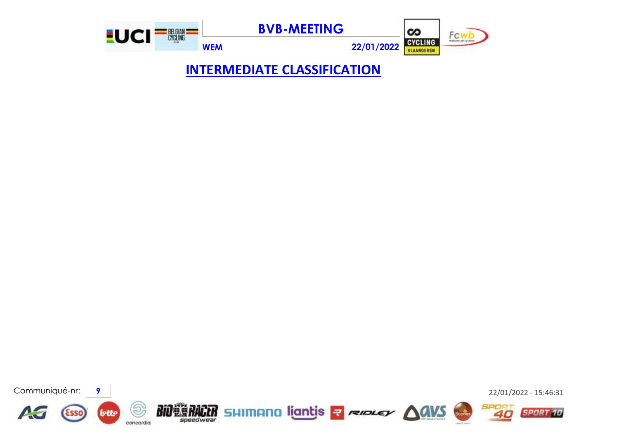

**INTERMEDIATE CLASSIFICATION**

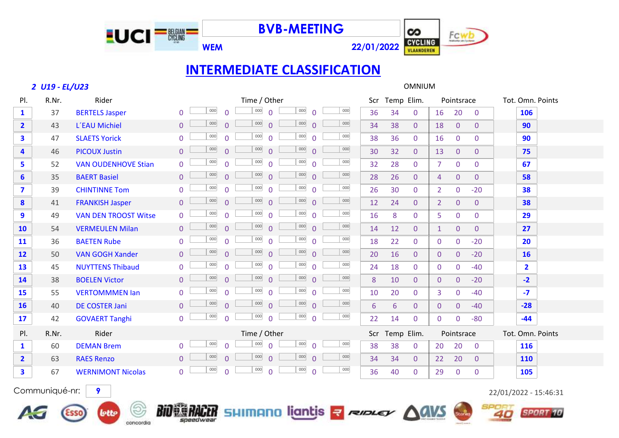

**WEM 22/01/2022**



# **INTERMEDIATE CLASSIFICATION**

### *U19 - EL/U23* OMNIUM

concordia

| PI.                     | R.Nr.                                                                                                                  | Rider                       |                                             | Time / Other                               |     | Scr | Temp Elim.           | Pointsrace                       | Tot. Omn. Points           |  |
|-------------------------|------------------------------------------------------------------------------------------------------------------------|-----------------------------|---------------------------------------------|--------------------------------------------|-----|-----|----------------------|----------------------------------|----------------------------|--|
| $\mathbf{1}$            | 37                                                                                                                     | <b>BERTELS Jasper</b>       | 000<br>$\Omega$<br>$\overline{0}$           | 000<br>000<br>$\Omega$<br>$\Omega$         | 000 | 36  | 34<br>$\overline{0}$ | 16<br>20                         | 106<br>$\overline{0}$      |  |
| $\overline{2}$          | 43                                                                                                                     | L'EAU Michiel               | 000<br>$\overline{0}$<br>$\Omega$           | 000<br>000<br>$\Omega$<br>$\Omega$         | 000 | 34  | 38<br>$\mathbf{0}$   | $\overline{0}$<br>18             | $\overline{0}$<br>90       |  |
| $\mathbf{3}$            | 47                                                                                                                     | <b>SLAETS Yorick</b>        | $000\,$<br>$\Omega$<br>$\overline{0}$       | 000<br>000<br>$\Omega$<br>$\Omega$         | 000 | 38  | 36<br>$\mathbf{0}$   | $\mathbf 0$<br>16                | $\mathbf 0$<br>90          |  |
| $\overline{\mathbf{4}}$ | 46                                                                                                                     | <b>PICOUX Justin</b>        | 000<br>$\Omega$<br>$\overline{0}$           | 000<br>000<br>$\Omega$<br>$\Omega$         | 000 | 30  | 32<br>$\Omega$       | 13<br>$\overline{0}$             | $\overline{0}$<br>75       |  |
| 5                       | 52                                                                                                                     | <b>VAN OUDENHOVE Stian</b>  | 000<br>$\overline{0}$<br>$\Omega$           | $000\,$<br>000<br>$\Omega$<br>$\Omega$     | 000 | 32  | 28<br>$\overline{0}$ | $\mathbf 0$<br>$\overline{7}$    | $\overline{0}$<br>67       |  |
| 6                       | 35                                                                                                                     | <b>BAERT Basiel</b>         | 000<br>$\overline{0}$<br>$\Omega$           | 000<br>000<br>$\Omega$<br>$\Omega$         | 000 | 28  | 26<br>$\overline{0}$ | $\mathbf{0}$<br>$\overline{4}$   | $\overline{0}$<br>58       |  |
| $\overline{\mathbf{z}}$ | 39                                                                                                                     | <b>CHINTINNE Tom</b>        | $000\,$<br>$\overline{0}$<br>$\overline{0}$ | 000<br>000<br>$\Omega$<br>$\Omega$         | 000 | 26  | 30<br>$\overline{0}$ | $\overline{2}$<br>$\mathbf 0$    | $-20$<br>38                |  |
| 8                       | 41                                                                                                                     | <b>FRANKISH Jasper</b>      | 000<br>$\overline{0}$<br>$\overline{0}$     | 000<br>000<br>$\Omega$<br>$\Omega$         | 000 | 12  | 24<br>$\mathbf{0}$   | $\overline{2}$<br>$\mathbf{0}$   | $\overline{0}$<br>38       |  |
| 9                       | 49                                                                                                                     | <b>VAN DEN TROOST Witse</b> | 000<br>$\overline{0}$<br>$\overline{0}$     | $000\,$<br>$000\,$<br>$\Omega$<br>$\Omega$ | 000 | 16  | 8<br>$\mathbf{0}$    | $\mathbf 0$<br>5                 | $\mathbf{0}$<br>29         |  |
| 10                      | 54                                                                                                                     | <b>VERMEULEN Milan</b>      | 000<br>$\Omega$<br>$\Omega$                 | 000<br>000<br>$\Omega$<br>$\Omega$         | 000 | 14  | 12<br>$\Omega$       | $\mathbf{0}$<br>$\mathbf{1}$     | $\overline{0}$<br>27       |  |
| 11                      | 36                                                                                                                     | <b>BAETEN Rube</b>          | 000<br>$\Omega$<br>$\Omega$                 | 000<br>$000\,$<br>$\Omega$<br>$\Omega$     | 000 | 18  | 22<br>$\mathbf{0}$   | $\mathbf 0$<br>$\mathbf{0}$      | $-20$<br>20                |  |
| 12                      | 50                                                                                                                     | <b>VAN GOGH Xander</b>      | 000<br>$\Omega$<br>$\Omega$                 | 000<br>000<br>$\Omega$<br>$\Omega$         | 000 | 20  | 16<br>$\Omega$       | $\overline{0}$<br>$\overline{0}$ | $-20$<br><b>16</b>         |  |
| 13                      | 45                                                                                                                     | <b>NUYTTENS Thibaud</b>     | 000<br>$\overline{0}$<br>$\Omega$           | 000<br>000<br>$\Omega$<br>$\Omega$         | 000 | 24  | 18<br>$\Omega$       | $\mathbf 0$<br>$\mathbf{0}$      | $\overline{2}$<br>$-40$    |  |
| 14                      | 38                                                                                                                     | <b>BOELEN Victor</b>        | 000<br>$\overline{0}$<br>$\Omega$           | 000<br>000<br>$\Omega$<br>$\Omega$         | 000 | 8   | 10<br>$\overline{0}$ | $\mathbf{0}$<br>$\overline{0}$   | $-2$<br>$-20$              |  |
| <b>15</b>               | 55                                                                                                                     | <b>VERTOMMMEN Ian</b>       | 000<br>$\Omega$<br>$\Omega$                 | 000<br>000<br>$\Omega$<br>$\Omega$         | 000 | 10  | 20<br>$\Omega$       | $\mathbf 0$<br>3                 | $-40$<br>$-7$              |  |
| <b>16</b>               | 40                                                                                                                     | DE COSTER Jani              | 000<br>$\Omega$<br>$\overline{0}$           | 000<br>000<br>$\Omega$<br>$\Omega$         | 000 | 6   | 6<br>$\mathbf{0}$    | $\overline{0}$<br>$\overline{0}$ | $-40$<br>$-28$             |  |
| 17                      | 42                                                                                                                     | <b>GOVAERT Tanghi</b>       | 000<br>$\overline{0}$<br>$\Omega$           | $000\,$<br>$000\,$<br>$\Omega$<br>$\Omega$ | 000 | 22  | 14<br>$\Omega$       | $\Omega$<br>$\Omega$             | $-80$<br>$-44$             |  |
| PI.                     | R.Nr.                                                                                                                  | Rider                       |                                             | Time / Other                               |     | Scr | Temp Elim.           | Pointsrace                       | Tot. Omn. Points           |  |
| $\mathbf{1}$            | 60                                                                                                                     | <b>DEMAN Brem</b>           | 000<br>$\overline{0}$<br>$\Omega$           | 000<br>000<br>$\Omega$<br>$\Omega$         | 000 | 38  | 38<br>$\overline{0}$ | 20<br>20                         | <b>116</b><br>$\mathbf{0}$ |  |
| $\overline{2}$          | 63                                                                                                                     | <b>RAES Renzo</b>           | 000<br>$\overline{0}$<br>$\Omega$           | 000<br>000<br>$\Omega$<br>$\Omega$         | 000 | 34  | 34<br>$\overline{0}$ | 20<br>22                         | $\mathbf{0}$<br><b>110</b> |  |
| $\overline{\mathbf{3}}$ | 67                                                                                                                     | <b>WERNIMONT Nicolas</b>    | 000<br>$\Omega$<br>$\overline{0}$           | 000<br>000<br>$\Omega$<br>$\Omega$         | 000 | 36  | 40<br>$\Omega$       | 29<br>$\mathbf 0$                | $\mathbf 0$<br>105         |  |
|                         | Communiqué-nr:<br>9<br>22/01/2022 - 15:46:31<br>BIO ERACER SHIMANO liantis - Reserver AGVS<br>lette<br><b>SPORT 10</b> |                             |                                             |                                            |     |     |                      |                                  |                            |  |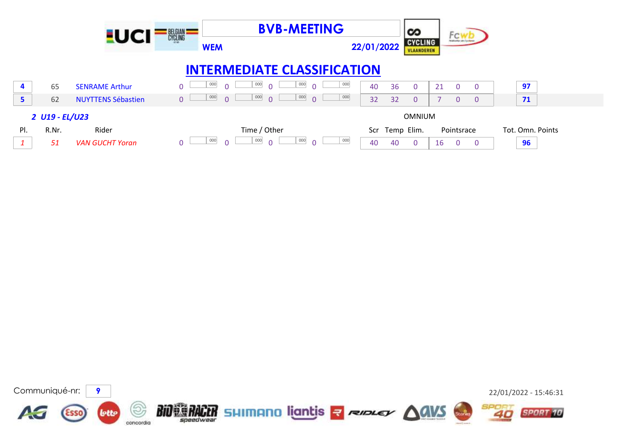|     |                | <b>EUCI</b>               | BELGIAN<br>CYCLING<br><b>WEM</b> | <b>BVB-MEETING</b>                             |     | 22/01/2022 | ∞<br><b>CYCLING</b><br>VLAANDEREN |    | Fcwb           |                |                  |  |
|-----|----------------|---------------------------|----------------------------------|------------------------------------------------|-----|------------|-----------------------------------|----|----------------|----------------|------------------|--|
|     |                |                           |                                  | <b>INTERMEDIATE CLASSIFICATION</b>             |     |            |                                   |    |                |                |                  |  |
| 4   | 65             | <b>SENRAME Arthur</b>     | 000                              | 000<br>000<br>$\Omega$<br>$\Omega$             | 000 | 36<br>40   | $\overline{0}$                    | 21 | $\Omega$       | $\Omega$       | 97               |  |
| 5   | 62             | <b>NUYTTENS Sébastien</b> | 000<br>$\overline{0}$            | 000<br>000<br>$\Omega$<br>$\Omega$<br>$\Omega$ | 000 | 32<br>32   | $\overline{0}$                    |    | $\overline{0}$ | $\overline{0}$ | 71               |  |
|     | 2 U19 - EL/U23 |                           |                                  |                                                |     |            | OMNIUM                            |    |                |                |                  |  |
| PI. | R.Nr.          | Rider                     |                                  | Time / Other                                   |     | Scr        | Temp Elim.                        |    | Pointsrace     |                | Tot. Omn. Points |  |
|     | 51             | <b>VAN GUCHT Yoran</b>    | 000                              | 000<br>000<br>$\cap$<br>$\Omega$<br>$\Omega$   | 000 | 40<br>40   | $\overline{0}$                    | 16 | $\Omega$       | $\Omega$       | 96               |  |

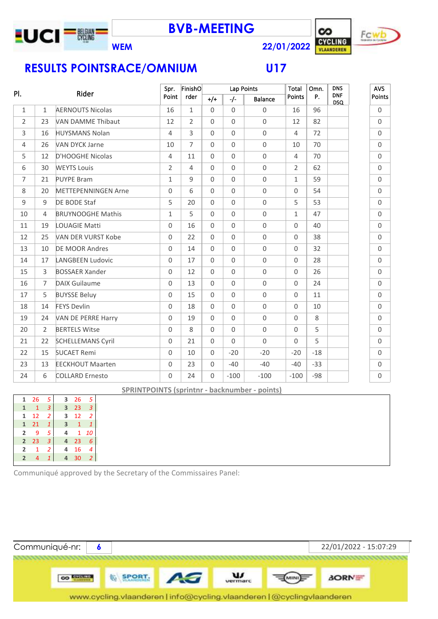

**BVB-MEETING**





**RESULTS POINTSRACE/OMNIUM U17**

| PI.            |                | Rider                      | Spr.           | FinishO        |              |                     | Lap Points          | Total          | Omn.  | <b>DNS</b>               | <b>AVS</b>          |
|----------------|----------------|----------------------------|----------------|----------------|--------------|---------------------|---------------------|----------------|-------|--------------------------|---------------------|
|                |                |                            | Point          | rder           | $+/-$        | $-/-$               | <b>Balance</b>      | Points         | Ρ.    | <b>DNF</b><br><b>DSQ</b> | Points              |
| $\mathbf{1}$   | $\mathbf{1}$   | <b>AERNOUTS Nicolas</b>    | 16             | $\mathbf{1}$   | $\mathbf{0}$ | $\Omega$            | $\mathbf 0$         | 16             | 96    |                          | $\mathsf 0$         |
| $\overline{2}$ | 23             | <b>VAN DAMME Thibaut</b>   | 12             | $\overline{2}$ | $\Omega$     | $\mathsf{O}\xspace$ | $\mathbf 0$         | 12             | 82    |                          | $\mathsf{O}$        |
| 3              | 16             | <b>HUYSMANS Nolan</b>      | $\overline{4}$ | 3              | $\Omega$     | $\mathsf{O}\xspace$ | $\mathbf 0$         | $\overline{4}$ | 72    |                          | $\mathsf{O}$        |
| 4              | 26             | <b>VAN DYCK Jarne</b>      | 10             | $\overline{7}$ | $\Omega$     | $\Omega$            | $\mathbf 0$         | 10             | 70    |                          | $\Omega$            |
| 5              | 12             | D'HOOGHE Nicolas           | $\overline{4}$ | 11             | $\Omega$     | $\Omega$            | $\mathsf{O}\xspace$ | $\overline{4}$ | 70    |                          | $\Omega$            |
| 6              | 30             | <b>WEYTS Louis</b>         | $\overline{2}$ | 4              | $\Omega$     | $\overline{0}$      | $\mathsf{O}\xspace$ | $\overline{2}$ | 62    |                          | $\mathbf{0}$        |
| $\overline{7}$ | 21             | <b>PUYPE Bram</b>          | $\mathbf{1}$   | 9              | $\mathbf 0$  | $\overline{0}$      | $\mathsf{O}\xspace$ | $\mathbf{1}$   | 59    |                          | $\mathbf 0$         |
| 8              | 20             | <b>METTEPENNINGEN Arne</b> | $\Omega$       | 6              | $\Omega$     | $\Omega$            | $\mathbf 0$         | $\mathbf 0$    | 54    |                          | $\mathsf{O}$        |
| 9              | 9              | DE BODE Staf               | 5              | 20             | $\Omega$     | $\Omega$            | $\mathbf 0$         | 5              | 53    |                          | $\mathsf{O}$        |
| 10             | $\overline{4}$ | <b>BRUYNOOGHE Mathis</b>   | $\mathbf{1}$   | 5              | $\mathbf{0}$ | $\mathbf 0$         | $\mathbf 0$         | $\mathbf{1}$   | 47    |                          | $\mathsf{O}$        |
| 11             | 19             | <b>LOUAGIE Matti</b>       | $\Omega$       | 16             | $\Omega$     | $\Omega$            | $\mathsf{O}\xspace$ | $\Omega$       | 40    |                          | $\mathbf 0$         |
| 12             | 25             | VAN DER VURST Kobe         | $\Omega$       | 22             | $\Omega$     | $\Omega$            | $\mathbf 0$         | $\mathbf 0$    | 38    |                          | $\Omega$            |
| 13             | 10             | <b>DE MOOR Andres</b>      | $\Omega$       | 14             | $\Omega$     | $\Omega$            | $\mathbf 0$         | $\mathbf 0$    | 32    |                          | $\Omega$            |
| 14             | 17             | <b>LANGBEEN Ludovic</b>    | $\overline{0}$ | 17             | $\Omega$     | $\Omega$            | $\mathsf{O}\xspace$ | $\mathbf 0$    | 28    |                          | $\mathbf 0$         |
| 15             | 3              | <b>BOSSAER Xander</b>      | $\Omega$       | 12             | $\Omega$     | $\Omega$            | $\mathbf 0$         | $\mathbf 0$    | 26    |                          | $\mathbf 0$         |
| 16             | $\overline{7}$ | <b>DAIX Guilaume</b>       | $\Omega$       | 13             | $\Omega$     | $\mathsf{O}$        | $\mathsf{O}\xspace$ | $\mathbf 0$    | 24    |                          | $\mathbf 0$         |
| 17             | 5              | <b>BUYSSE Beluy</b>        | $\Omega$       | 15             | $\Omega$     | $\Omega$            | $\mathbf 0$         | $\mathbf 0$    | 11    |                          | $\mathbf 0$         |
| 18             | 14             | <b>FEYS Devlin</b>         | $\overline{0}$ | 18             | $\Omega$     | $\mathsf{O}\xspace$ | $\mathbf 0$         | $\mathbf 0$    | 10    |                          | $\mathbf 0$         |
| 19             | 24             | VAN DE PERRE Harry         | $\Omega$       | 19             | $\mathbf{0}$ | $\Omega$            | $\mathbf 0$         | $\Omega$       | 8     |                          | $\Omega$            |
| 20             | $\overline{2}$ | <b>BERTELS Witse</b>       | $\Omega$       | 8              | $\Omega$     | $\Omega$            | $\mathbf 0$         | $\Omega$       | 5     |                          | $\mathbf 0$         |
| 21             | 22             | <b>SCHELLEMANS Cyril</b>   | $\Omega$       | 21             | $\Omega$     | $\Omega$            | $\Omega$            | $\Omega$       | 5     |                          | $\mathbf 0$         |
| 22             | 15             | <b>SUCAET Remi</b>         | $\Omega$       | 10             | $\Omega$     | $-20$               | $-20$               | $-20$          | $-18$ |                          | $\mathbf 0$         |
| 23             | 13             | <b>EECKHOUT Maarten</b>    | $\Omega$       | 23             | $\mathbf 0$  | $-40$               | $-40$               | $-40$          | $-33$ |                          | $\mathsf{O}\xspace$ |
| 24             | 6              | <b>COLLARD Ernesto</b>     | $\Omega$       | 24             | $\mathbf 0$  | $-100$              | $-100$              | $-100$         | $-98$ |                          | $\mathbf 0$         |

**SPRINTPOINTS (sprintnr - backnumber - points)**

| 1              | 26 | 5 | 3 | 26 | 5  |  |
|----------------|----|---|---|----|----|--|
| 1              | 1  | 3 | 3 | 23 | 3  |  |
| 1              | 12 | 2 | 3 | 12 |    |  |
| 1              | 21 | 1 | 3 | 1  |    |  |
| 2              | q  | 5 | 4 | 1  | 10 |  |
| $\overline{2}$ | 23 |   | 4 | 23 | 6  |  |
| 2              | 1  | 2 | 4 | 16 |    |  |
| $\overline{2}$ |    |   | 4 | 30 |    |  |
|                |    |   |   |    |    |  |

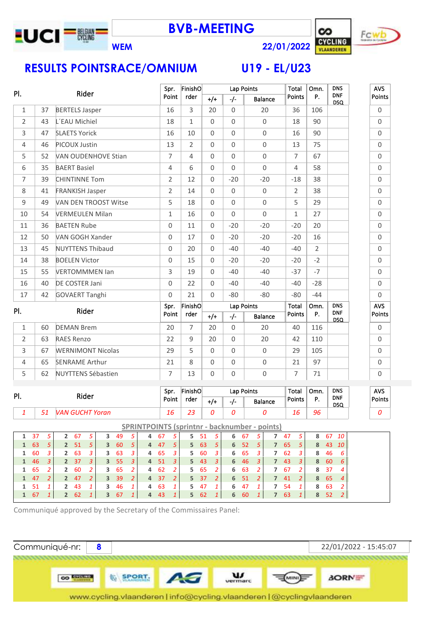





| PI.<br>Rider   |    |                             | Spr.           | FinishO        |                     | Lap Points          |                     | Total          | Omn.           | <b>DNS</b><br><b>DNF</b> | <b>AVS</b>          |
|----------------|----|-----------------------------|----------------|----------------|---------------------|---------------------|---------------------|----------------|----------------|--------------------------|---------------------|
|                |    |                             | Point          | rder           | $+/-$               | $-/-$               | <b>Balance</b>      | Points         | <b>P.</b>      | <b>DSQ</b>               | Points              |
| $\mathbf{1}$   | 37 | <b>BERTELS Jasper</b>       | 16             | 3              | 20                  | $\Omega$            | 20                  | 36             | 106            |                          | $\mathbf 0$         |
| $\overline{2}$ | 43 | L'EAU Michiel               | 18             | $\mathbf{1}$   | $\Omega$            | $\mathbf 0$         | $\mathbf 0$         | 18             | 90             |                          | $\mathsf 0$         |
| 3              | 47 | <b>SLAETS Yorick</b>        | 16             | 10             | 0                   | $\overline{0}$      | $\mathbf 0$         | 16             | 90             |                          | $\mathsf{O}\xspace$ |
| 4              | 46 | PICOUX Justin               | 13             | $\overline{2}$ | 0                   | $\mathsf{O}\xspace$ | $\mathsf{O}\xspace$ | 13             | 75             |                          | $\mathsf 0$         |
| 5              | 52 | <b>VAN OUDENHOVE Stian</b>  | $\overline{7}$ | $\overline{4}$ | $\Omega$            | $\overline{0}$      | $\mathbf 0$         | $\overline{7}$ | 67             |                          | $\mathsf 0$         |
| 6              | 35 | <b>BAERT Basiel</b>         | 4              | 6              | $\Omega$            | $\Omega$            | $\Omega$            | $\overline{4}$ | 58             |                          | $\mathsf{O}\xspace$ |
| 7              | 39 | <b>CHINTINNE Tom</b>        | $\overline{2}$ | 12             | 0                   | $-20$               | $-20$               | $-18$          | 38             |                          | $\mathbf 0$         |
| 8              | 41 | <b>FRANKISH Jasper</b>      | $\overline{2}$ | 14             | $\Omega$            | $\mathsf{O}\xspace$ | $\mathsf{O}\xspace$ | $\overline{2}$ | 38             |                          | $\mathsf 0$         |
| 9              | 49 | <b>VAN DEN TROOST Witse</b> | 5              | 18             | $\Omega$            | $\Omega$            | $\mathbf 0$         | 5              | 29             |                          | $\mathsf{O}\xspace$ |
| 10             | 54 | <b>VERMEULEN Milan</b>      | $\mathbf 1$    | 16             | 0                   | $\overline{0}$      | $\mathbf 0$         | $\mathbf{1}$   | 27             |                          | $\mathsf 0$         |
| 11             | 36 | <b>BAETEN Rube</b>          | 0              | 11             | $\Omega$            | $-20$               | $-20$               | $-20$          | 20             |                          | $\mathsf{O}\xspace$ |
| 12             | 50 | VAN GOGH Xander             | $\Omega$       | 17             | $\Omega$            | $-20$               | $-20$               | $-20$          | 16             |                          | $\mathsf{O}\xspace$ |
| 13             | 45 | <b>NUYTTENS Thibaud</b>     | 0              | 20             | $\mathsf{O}\xspace$ | $-40$               | $-40$               | $-40$          | $\overline{2}$ |                          | $\mathsf 0$         |
| 14             | 38 | <b>BOELEN Victor</b>        | 0              | 15             | $\Omega$            | $-20$               | $-20$               | $-20$          | $-2$           |                          | $\mathsf 0$         |
| 15             | 55 | <b>VERTOMMMEN Ian</b>       | 3              | 19             | $\Omega$            | $-40$               | $-40$               | $-37$          | $-7$           |                          | $\mathsf 0$         |
| 16             | 40 | DE COSTER Jani              | 0              | 22             | $\Omega$            | $-40$               | $-40$               | $-40$          | $-28$          |                          | $\mathbf 0$         |
| 17             | 42 | <b>GOVAERT Tanghi</b>       | 0              | 21             | $\Omega$            | $-80$               | $-80$               | $-80$          | $-44$          |                          | $\mathsf{O}\xspace$ |
| PI.            |    | Rider                       | Spr.           | FinishO        |                     | Lap Points          |                     | <b>Total</b>   | Omn.           | <b>DNS</b>               | AVS                 |
|                |    |                             | Point          | rder           | $+/+$               | $-/-$               | <b>Balance</b>      | Points         | P.             | <b>DNF</b><br><b>DSQ</b> | Points              |
| $\mathbf{1}$   | 60 | <b>DEMAN Brem</b>           | 20             | $\overline{7}$ | 20                  | $\Omega$            | 20                  | 40             | 116            |                          | $\mathbf 0$         |
| $\overline{2}$ | 63 | <b>RAES Renzo</b>           | 22             | 9              | 20                  | $\Omega$            | 20                  | 42             | 110            |                          | $\mathsf 0$         |
| 3              | 67 | <b>WERNIMONT Nicolas</b>    | 29             | 5              | $\Omega$            | $\Omega$            | $\mathbf 0$         | 29             | 105            |                          | $\mathbf 0$         |
| 4              | 65 | <b>SENRAME Arthur</b>       | 21             | 8              | $\Omega$            | $\mathsf{O}\xspace$ | $\mathbf 0$         | 21             | 97             |                          | $\mathbf 0$         |
| 5              | 62 | <b>NUYTTENS Sébastien</b>   | $\overline{7}$ | 13             | 0                   | $\mathbf 0$         | $\mathsf{O}\xspace$ | 7              | 71             |                          | $\mathsf 0$         |
|                |    |                             | Spr.           | FinishO        |                     | Lap Points          |                     | Total          | Omn.           | <b>DNS</b>               | <b>AVS</b>          |
| PI.            |    | Rider                       | Point          | rder           | $+/+$               | $-/-$               | Balance             | Points         | P.             | <b>DNF</b><br><b>DSO</b> | Points              |

DSQ *51 VAN GUCHT Yoran 16 23 0 0 0 16 96 0*

**SPRINTPOINTS (sprintnr - backnumber - points)**

|  |  |  |  | 1 37 5 2 67 5 3 49 5 4 67 5 5 51 5 6 67 5 7 47 5 8 67 10              |  |  |  |  |  |  |  |
|--|--|--|--|-----------------------------------------------------------------------|--|--|--|--|--|--|--|
|  |  |  |  | 1 63 5 2 5 1 5 3 60 5 4 47 5 5 63 5 6 5 2 5 7 6 5 5 8 4 3 10          |  |  |  |  |  |  |  |
|  |  |  |  | 1 60 3   2 63 3   3 63 3   4 65 3   5 60 3   6 65 3   7 62 3   8 46 6 |  |  |  |  |  |  |  |
|  |  |  |  | 1 46 3   2 37 3   3 55 3   4 51 3   5 43 3   6 46 3   7 43 3   8 60 6 |  |  |  |  |  |  |  |
|  |  |  |  | 1 65 2 2 60 2 3 65 2 4 62 2 5 65 2 6 63 2 7 67 2 8 37 4               |  |  |  |  |  |  |  |
|  |  |  |  | 1 47 2 2 47 2 3 39 2 4 37 2 5 37 2 6 51 2 7 41 2 8 65 4               |  |  |  |  |  |  |  |
|  |  |  |  | 1 51 1 2 43 1 3 46 1 4 63 1 5 47 1 6 47 1 7 54 1 8 63 2               |  |  |  |  |  |  |  |
|  |  |  |  | 1 67 1 2 62 1 3 67 1 4 43 1 5 62 1 6 60 1 7 63 1 8 52 2               |  |  |  |  |  |  |  |